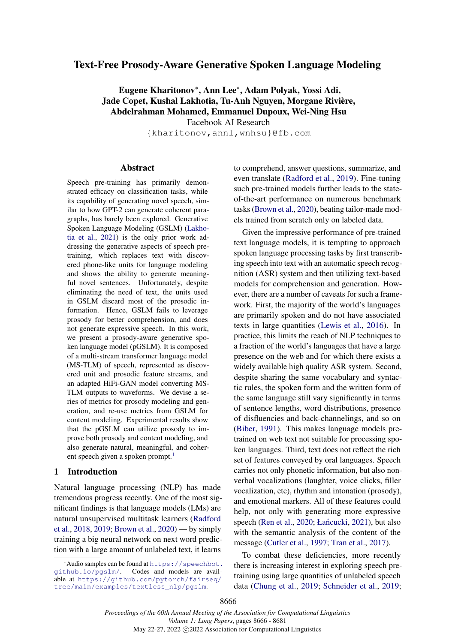# Text-Free Prosody-Aware Generative Spoken Language Modeling

Eugene Kharitonov<sup>∗</sup> , Ann Lee<sup>∗</sup> , Adam Polyak, Yossi Adi, Jade Copet, Kushal Lakhotia, Tu-Anh Nguyen, Morgane Rivière, Abdelrahman Mohamed, Emmanuel Dupoux, Wei-Ning Hsu

Facebook AI Research

{kharitonov,annl,wnhsu}@fb.com

### Abstract

Speech pre-training has primarily demonstrated efficacy on classification tasks, while its capability of generating novel speech, similar to how GPT-2 can generate coherent paragraphs, has barely been explored. Generative Spoken Language Modeling (GSLM) [\(Lakho](#page-9-0)[tia et al.,](#page-9-0) [2021\)](#page-9-0) is the only prior work addressing the generative aspects of speech pretraining, which replaces text with discovered phone-like units for language modeling and shows the ability to generate meaningful novel sentences. Unfortunately, despite eliminating the need of text, the units used in GSLM discard most of the prosodic information. Hence, GSLM fails to leverage prosody for better comprehension, and does not generate expressive speech. In this work, we present a prosody-aware generative spoken language model (pGSLM). It is composed of a multi-stream transformer language model (MS-TLM) of speech, represented as discovered unit and prosodic feature streams, and an adapted HiFi-GAN model converting MS-TLM outputs to waveforms. We devise a series of metrics for prosody modeling and generation, and re-use metrics from GSLM for content modeling. Experimental results show that the pGSLM can utilize prosody to improve both prosody and content modeling, and also generate natural, meaningful, and coher-ent speech given a spoken prompt.<sup>[1](#page-0-0)</sup>

# 1 Introduction

Natural language processing (NLP) has made tremendous progress recently. One of the most significant findings is that language models (LMs) are natural unsupervised multitask learners [\(Radford](#page-10-0) [et al.,](#page-10-0) [2018,](#page-10-0) [2019;](#page-10-1) [Brown et al.,](#page-9-1) [2020\)](#page-9-1) — by simply training a big neural network on next word prediction with a large amount of unlabeled text, it learns

to comprehend, answer questions, summarize, and even translate [\(Radford et al.,](#page-10-1) [2019\)](#page-10-1). Fine-tuning such pre-trained models further leads to the stateof-the-art performance on numerous benchmark tasks [\(Brown et al.,](#page-9-1) [2020\)](#page-9-1), beating tailor-made models trained from scratch only on labeled data.

Given the impressive performance of pre-trained text language models, it is tempting to approach spoken language processing tasks by first transcribing speech into text with an automatic speech recognition (ASR) system and then utilizing text-based models for comprehension and generation. However, there are a number of caveats for such a framework. First, the majority of the world's languages are primarily spoken and do not have associated texts in large quantities [\(Lewis et al.,](#page-9-2) [2016\)](#page-9-2). In practice, this limits the reach of NLP techniques to a fraction of the world's languages that have a large presence on the web and for which there exists a widely available high quality ASR system. Second, despite sharing the same vocabulary and syntactic rules, the spoken form and the written form of the same language still vary significantly in terms of sentence lengths, word distributions, presence of disfluencies and back-channelings, and so on [\(Biber,](#page-9-3) [1991\)](#page-9-3). This makes language models pretrained on web text not suitable for processing spoken languages. Third, text does not reflect the rich set of features conveyed by oral languages. Speech carries not only phonetic information, but also nonverbal vocalizations (laughter, voice clicks, filler vocalization, etc), rhythm and intonation (prosody), and emotional markers. All of these features could help, not only with generating more expressive speech [\(Ren et al.,](#page-10-2) [2020;](#page-10-2) Łańcucki, [2021\)](#page-9-4), but also with the semantic analysis of the content of the message [\(Cutler et al.,](#page-9-5) [1997;](#page-9-5) [Tran et al.,](#page-10-3) [2017\)](#page-10-3).

To combat these deficiencies, more recently there is increasing interest in exploring speech pretraining using large quantities of unlabeled speech data [\(Chung et al.,](#page-9-6) [2019;](#page-9-6) [Schneider et al.,](#page-10-4) [2019;](#page-10-4)

<span id="page-0-0"></span> $^1$ Audio samples can be found at [https://speechbot.](https://speechbot.github.io/pgslm/) [github.io/pgslm/](https://speechbot.github.io/pgslm/). Codes and models are available at [https://github.com/pytorch/fairseq/](https://github.com/pytorch/fairseq/tree/main/examples/textless_nlp/pgslm) [tree/main/examples/textless\\_nlp/pgslm](https://github.com/pytorch/fairseq/tree/main/examples/textless_nlp/pgslm).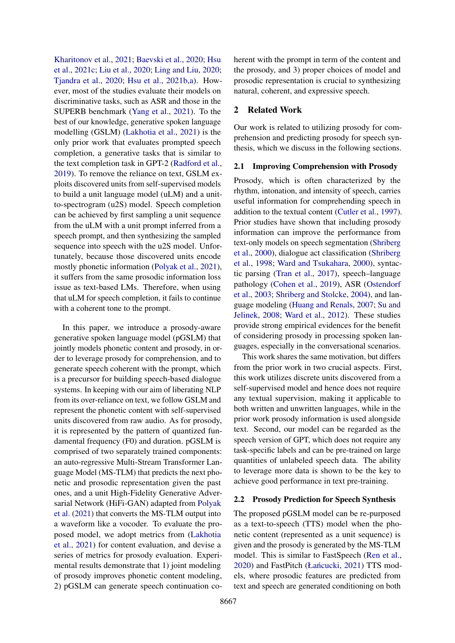[Kharitonov et al.,](#page-9-7) [2021;](#page-9-7) [Baevski et al.,](#page-9-8) [2020;](#page-9-8) [Hsu](#page-9-9) [et al.,](#page-9-9) [2021c;](#page-9-9) [Liu et al.,](#page-9-10) [2020;](#page-9-10) [Ling and Liu,](#page-9-11) [2020;](#page-9-11) [Tjandra et al.,](#page-10-5) [2020;](#page-10-5) [Hsu et al.,](#page-9-12) [2021b](#page-9-12)[,a\)](#page-9-13). However, most of the studies evaluate their models on discriminative tasks, such as ASR and those in the SUPERB benchmark [\(Yang et al.,](#page-11-0) [2021\)](#page-11-0). To the best of our knowledge, generative spoken language modelling (GSLM) [\(Lakhotia et al.,](#page-9-0) [2021\)](#page-9-0) is the only prior work that evaluates prompted speech completion, a generative tasks that is similar to the text completion task in GPT-2 [\(Radford et al.,](#page-10-1) [2019\)](#page-10-1). To remove the reliance on text, GSLM exploits discovered units from self-supervised models to build a unit language model (uLM) and a unitto-spectrogram (u2S) model. Speech completion can be achieved by first sampling a unit sequence from the uLM with a unit prompt inferred from a speech prompt, and then synthesizing the sampled sequence into speech with the u2S model. Unfortunately, because those discovered units encode mostly phonetic information [\(Polyak et al.,](#page-10-6) [2021\)](#page-10-6), it suffers from the same prosodic information loss issue as text-based LMs. Therefore, when using that uLM for speech completion, it fails to continue with a coherent tone to the prompt.

In this paper, we introduce a prosody-aware generative spoken language model (pGSLM) that jointly models phonetic content and prosody, in order to leverage prosody for comprehension, and to generate speech coherent with the prompt, which is a precursor for building speech-based dialogue systems. In keeping with our aim of liberating NLP from its over-reliance on text, we follow GSLM and represent the phonetic content with self-supervised units discovered from raw audio. As for prosody, it is represented by the pattern of quantized fundamental frequency (F0) and duration. pGSLM is comprised of two separately trained components: an auto-regressive Multi-Stream Transformer Language Model (MS-TLM) that predicts the next phonetic and prosodic representation given the past ones, and a unit High-Fidelity Generative Adversarial Network (HiFi-GAN) adapted from [Polyak](#page-10-6) [et al.](#page-10-6) [\(2021\)](#page-10-6) that converts the MS-TLM output into a waveform like a vocoder. To evaluate the proposed model, we adopt metrics from [\(Lakhotia](#page-9-0) [et al.,](#page-9-0) [2021\)](#page-9-0) for content evaluation, and devise a series of metrics for prosody evaluation. Experimental results demonstrate that 1) joint modeling of prosody improves phonetic content modeling, 2) pGSLM can generate speech continuation coherent with the prompt in term of the content and the prosody, and 3) proper choices of model and prosodic representation is crucial to synthesizing natural, coherent, and expressive speech.

# 2 Related Work

Our work is related to utilizing prosody for comprehension and predicting prosody for speech synthesis, which we discuss in the following sections.

## 2.1 Improving Comprehension with Prosody

Prosody, which is often characterized by the rhythm, intonation, and intensity of speech, carries useful information for comprehending speech in addition to the textual content [\(Cutler et al.,](#page-9-5) [1997\)](#page-9-5). Prior studies have shown that including prosody information can improve the performance from text-only models on speech segmentation [\(Shriberg](#page-10-7) [et al.,](#page-10-7) [2000\)](#page-10-7), dialogue act classification [\(Shriberg](#page-10-8) [et al.,](#page-10-8) [1998;](#page-10-8) [Ward and Tsukahara,](#page-10-9) [2000\)](#page-10-9), syntactic parsing [\(Tran et al.,](#page-10-3) [2017\)](#page-10-3), speech–language pathology [\(Cohen et al.,](#page-9-14) [2019\)](#page-9-14), ASR [\(Ostendorf](#page-10-10) [et al.,](#page-10-10) [2003;](#page-10-10) [Shriberg and Stolcke,](#page-10-11) [2004\)](#page-10-11), and language modeling [\(Huang and Renals,](#page-9-15) [2007;](#page-9-15) [Su and](#page-10-12) [Jelinek,](#page-10-12) [2008;](#page-10-12) [Ward et al.,](#page-10-13) [2012\)](#page-10-13). These studies provide strong empirical evidences for the benefit of considering prosody in processing spoken languages, especially in the conversational scenarios.

This work shares the same motivation, but differs from the prior work in two crucial aspects. First, this work utilizes discrete units discovered from a self-supervised model and hence does not require any textual supervision, making it applicable to both written and unwritten languages, while in the prior work prosody information is used alongside text. Second, our model can be regarded as the speech version of GPT, which does not require any task-specific labels and can be pre-trained on large quantities of unlabeled speech data. The ability to leverage more data is shown to be the key to achieve good performance in text pre-training.

## 2.2 Prosody Prediction for Speech Synthesis

The proposed pGSLM model can be re-purposed as a text-to-speech (TTS) model when the phonetic content (represented as a unit sequence) is given and the prosody is generated by the MS-TLM model. This is similar to FastSpeech [\(Ren et al.,](#page-10-2) [2020\)](#page-10-2) and FastPitch (Łańcucki, [2021\)](#page-9-4) TTS models, where prosodic features are predicted from text and speech are generated conditioning on both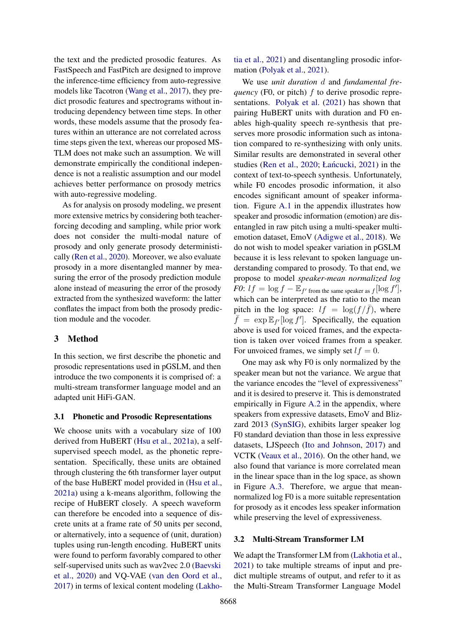the text and the predicted prosodic features. As FastSpeech and FastPitch are designed to improve the inference-time efficiency from auto-regressive models like Tacotron [\(Wang et al.,](#page-10-14) [2017\)](#page-10-14), they predict prosodic features and spectrograms without introducing dependency between time steps. In other words, these models assume that the prosody features within an utterance are not correlated across time steps given the text, whereas our proposed MS-TLM does not make such an assumption. We will demonstrate empirically the conditional independence is not a realistic assumption and our model achieves better performance on prosody metrics with auto-regressive modeling.

As for analysis on prosody modeling, we present more extensive metrics by considering both teacherforcing decoding and sampling, while prior work does not consider the multi-modal nature of prosody and only generate prosody deterministically [\(Ren et al.,](#page-10-2) [2020\)](#page-10-2). Moreover, we also evaluate prosody in a more disentangled manner by measuring the error of the prosody prediction module alone instead of measuring the error of the prosody extracted from the synthesized waveform: the latter conflates the impact from both the prosody prediction module and the vocoder.

# 3 Method

In this section, we first describe the phonetic and prosodic representations used in pGSLM, and then introduce the two components it is comprised of: a multi-stream transformer language model and an adapted unit HiFi-GAN.

## <span id="page-2-0"></span>3.1 Phonetic and Prosodic Representations

We choose units with a vocabulary size of 100 derived from HuBERT [\(Hsu et al.,](#page-9-13) [2021a\)](#page-9-13), a selfsupervised speech model, as the phonetic representation. Specifically, these units are obtained through clustering the 6th transformer layer output of the base HuBERT model provided in [\(Hsu et al.,](#page-9-13) [2021a\)](#page-9-13) using a k-means algorithm, following the recipe of HuBERT closely. A speech waveform can therefore be encoded into a sequence of discrete units at a frame rate of 50 units per second, or alternatively, into a sequence of (unit, duration) tuples using run-length encoding. HuBERT units were found to perform favorably compared to other self-supervised units such as wav2vec 2.0 [\(Baevski](#page-9-8) [et al.,](#page-9-8) [2020\)](#page-9-8) and VQ-VAE [\(van den Oord et al.,](#page-10-15) [2017\)](#page-10-15) in terms of lexical content modeling [\(Lakho-](#page-9-0) [tia et al.,](#page-9-0) [2021\)](#page-9-0) and disentangling prosodic information [\(Polyak et al.,](#page-10-6) [2021\)](#page-10-6).

We use *unit duration* d and *fundamental frequency* (F0, or pitch) f to derive prosodic representations. [Polyak et al.](#page-10-6) [\(2021\)](#page-10-6) has shown that pairing HuBERT units with duration and F0 enables high-quality speech re-synthesis that preserves more prosodic information such as intonation compared to re-synthesizing with only units. Similar results are demonstrated in several other studies [\(Ren et al.,](#page-10-2) [2020;](#page-10-2) Łańcucki, [2021\)](#page-9-4) in the context of text-to-speech synthesis. Unfortunately, while F0 encodes prosodic information, it also encodes significant amount of speaker information. Figure [A.1](#page-12-0) in the appendix illustrates how speaker and prosodic information (emotion) are disentangled in raw pitch using a multi-speaker multiemotion dataset, EmoV [\(Adigwe et al.,](#page-9-16) [2018\)](#page-9-16). We do not wish to model speaker variation in pGSLM because it is less relevant to spoken language understanding compared to prosody. To that end, we propose to model *speaker-mean normalized log F0*:  $lf = \log f - \mathbb{E}_{f' \text{ from the same speaker as } f}[\log f'],$ which can be interpreted as the ratio to the mean pitch in the log space:  $lf = log(f/\bar{f})$ , where  $\bar{f} = \exp \mathbb{E}_{f}$  [log f']. Specifically, the equation above is used for voiced frames, and the expectation is taken over voiced frames from a speaker. For unvoiced frames, we simply set  $lf = 0$ .

One may ask why F0 is only normalized by the speaker mean but not the variance. We argue that the variance encodes the "level of expressiveness" and it is desired to preserve it. This is demonstrated empirically in Figure [A.2](#page-12-1) in the appendix, where speakers from expressive datasets, EmoV and Blizzard 2013 [\(SynSIG\)](#page-10-16), exhibits larger speaker log F0 standard deviation than those in less expressive datasets, LJSpeech [\(Ito and Johnson,](#page-9-17) [2017\)](#page-9-17) and VCTK [\(Veaux et al.,](#page-10-17) [2016\)](#page-10-17). On the other hand, we also found that variance is more correlated mean in the linear space than in the log space, as shown in Figure [A.3.](#page-12-2) Therefore, we argue that meannormalized log F0 is a more suitable representation for prosody as it encodes less speaker information while preserving the level of expressiveness.

## 3.2 Multi-Stream Transformer LM

We adapt the Transformer LM from [\(Lakhotia et al.,](#page-9-0) [2021\)](#page-9-0) to take multiple streams of input and predict multiple streams of output, and refer to it as the Multi-Stream Transformer Language Model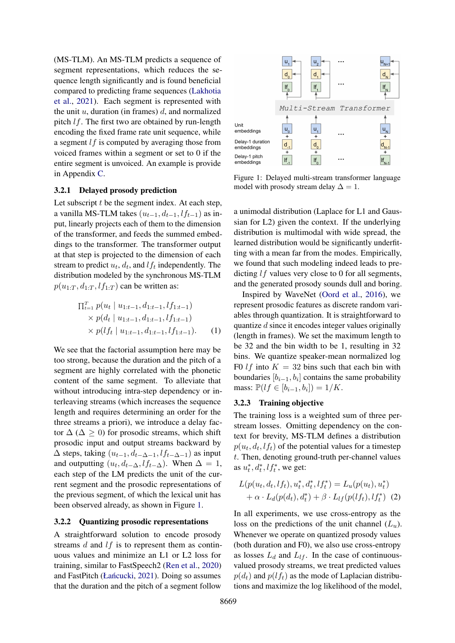(MS-TLM). An MS-TLM predicts a sequence of segment representations, which reduces the sequence length significantly and is found beneficial compared to predicting frame sequences [\(Lakhotia](#page-9-0) [et al.,](#page-9-0) [2021\)](#page-9-0). Each segment is represented with the unit  $u$ , duration (in frames)  $d$ , and normalized pitch  $lf$ . The first two are obtained by run-length encoding the fixed frame rate unit sequence, while a segment  $\ell f$  is computed by averaging those from voiced frames within a segment or set to 0 if the entire segment is unvoiced. An example is provide in Appendix [C.](#page-12-3)

### 3.2.1 Delayed prosody prediction

Let subscript  $t$  be the segment index. At each step, a vanilla MS-TLM takes  $(u_{t-1}, d_{t-1}, l f_{t-1})$  as input, linearly projects each of them to the dimension of the transformer, and feeds the summed embeddings to the transformer. The transformer output at that step is projected to the dimension of each stream to predict  $u_t$ ,  $d_t$ , and  $l f_t$  independently. The distribution modeled by the synchronous MS-TLM  $p(u_{1:T}, d_{1:T}, l_{1:T})$  can be written as:

$$
\Pi_{t=1}^{T} p(u_t | u_{1:t-1}, d_{1:t-1}, l f_{1:t-1})
$$
\n
$$
\times p(d_t | u_{1:t-1}, d_{1:t-1}, l f_{1:t-1})
$$
\n
$$
\times p(l f_t | u_{1:t-1}, d_{1:t-1}, l f_{1:t-1}).
$$
\n(1)

We see that the factorial assumption here may be too strong, because the duration and the pitch of a segment are highly correlated with the phonetic content of the same segment. To alleviate that without introducing intra-step dependency or interleaving streams (which increases the sequence length and requires determining an order for the three streams a priori), we introduce a delay factor  $\Delta$  ( $\Delta$  > 0) for prosodic streams, which shift prosodic input and output streams backward by  $\Delta$  steps, taking  $(u_{t-1}, d_{t-\Delta-1}, l f_{t-\Delta-1})$  as input and outputting  $(u_t, d_{t-\Delta}, l f_{t-\Delta})$ . When  $\Delta = 1$ , each step of the LM predicts the unit of the current segment and the prosodic representations of the previous segment, of which the lexical unit has been observed already, as shown in Figure [1.](#page-3-0)

## <span id="page-3-2"></span>3.2.2 Quantizing prosodic representations

A straightforward solution to encode prosody streams d and lf is to represent them as continuous values and minimize an L1 or L2 loss for training, similar to FastSpeech2 [\(Ren et al.,](#page-10-2) [2020\)](#page-10-2) and FastPitch (Łańcucki, [2021\)](#page-9-4). Doing so assumes that the duration and the pitch of a segment follow

<span id="page-3-0"></span>

Figure 1: Delayed multi-stream transformer language model with prosody stream delay  $\Delta = 1$ .

a unimodal distribution (Laplace for L1 and Gaussian for L2) given the context. If the underlying distribution is multimodal with wide spread, the learned distribution would be significantly underfitting with a mean far from the modes. Empirically, we found that such modeling indeed leads to predicting *lf* values very close to 0 for all segments, and the generated prosody sounds dull and boring.

Inspired by WaveNet [\(Oord et al.,](#page-10-18) [2016\)](#page-10-18), we represent prosodic features as discrete random variables through quantization. It is straightforward to quantize d since it encodes integer values originally (length in frames). We set the maximum length to be 32 and the bin width to be 1, resulting in 32 bins. We quantize speaker-mean normalized log F0 *lf* into  $K = 32$  bins such that each bin with boundaries  $[b_{i-1}, b_i]$  contains the same probability mass:  $\mathbb{P}(lf ∈ [b_{i-1}, b_i]) = 1/K$ .

# <span id="page-3-1"></span>3.2.3 Training objective

The training loss is a weighted sum of three perstream losses. Omitting dependency on the context for brevity, MS-TLM defines a distribution  $p(u_t, d_t, l f_t)$  of the potential values for a timestep t. Then, denoting ground-truth per-channel values as  $u_t^*, d_t^*, l f_t^*,$  we get:

$$
L(p(u_t, d_t, l f_t), u_t^*, d_t^*, l f_t^*) = L_u(p(u_t), u_t^*)
$$
  
+  $\alpha \cdot L_d(p(d_t), d_t^*) + \beta \cdot L_{lf}(p(l f_t), l f_t^*)$  (2)

In all experiments, we use cross-entropy as the loss on the predictions of the unit channel  $(L_u)$ . Whenever we operate on quantized prosody values (both duration and F0), we also use cross-entropy as losses  $L_d$  and  $L_l$ . In the case of continuousvalued prosody streams, we treat predicted values  $p(d_t)$  and  $p(lf_t)$  as the mode of Laplacian distributions and maximize the log likelihood of the model,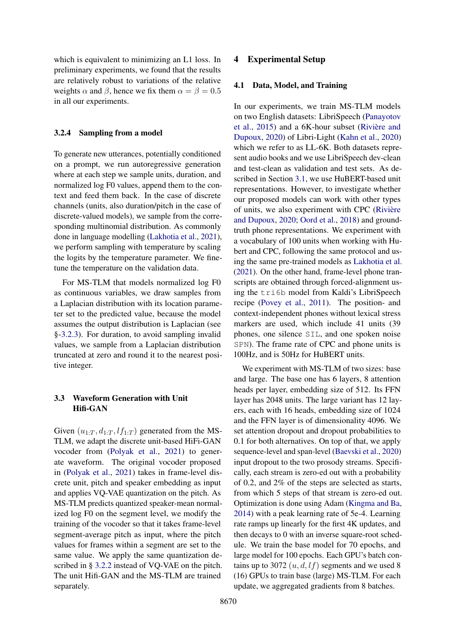which is equivalent to minimizing an L1 loss. In preliminary experiments, we found that the results are relatively robust to variations of the relative weights  $\alpha$  and  $\beta$ , hence we fix them  $\alpha = \beta = 0.5$ in all our experiments.

## 3.2.4 Sampling from a model

To generate new utterances, potentially conditioned on a prompt, we run autoregressive generation where at each step we sample units, duration, and normalized log F0 values, append them to the context and feed them back. In the case of discrete channels (units, also duration/pitch in the case of discrete-valued models), we sample from the corresponding multinomial distribution. As commonly done in language modelling [\(Lakhotia et al.,](#page-9-0) [2021\)](#page-9-0), we perform sampling with temperature by scaling the logits by the temperature parameter. We finetune the temperature on the validation data.

For MS-TLM that models normalized log F0 as continuous variables, we draw samples from a Laplacian distribution with its location parameter set to the predicted value, because the model assumes the output distribution is Laplacian (see §[-3.2.3\)](#page-3-1). For duration, to avoid sampling invalid values, we sample from a Laplacian distribution truncated at zero and round it to the nearest positive integer.

# 3.3 Waveform Generation with Unit Hifi-GAN

Given  $(u_{1:T}, d_{1:T}, l_{T:T})$  generated from the MS-TLM, we adapt the discrete unit-based HiFi-GAN vocoder from [\(Polyak et al.,](#page-10-6) [2021\)](#page-10-6) to generate waveform. The original vocoder proposed in [\(Polyak et al.,](#page-10-6) [2021\)](#page-10-6) takes in frame-level discrete unit, pitch and speaker embedding as input and applies VQ-VAE quantization on the pitch. As MS-TLM predicts quantized speaker-mean normalized log F0 on the segment level, we modify the training of the vocoder so that it takes frame-level segment-average pitch as input, where the pitch values for frames within a segment are set to the same value. We apply the same quantization described in § [3.2.2](#page-3-2) instead of VQ-VAE on the pitch. The unit Hifi-GAN and the MS-TLM are trained separately.

### 4.1 Data, Model, and Training

In our experiments, we train MS-TLM models on two English datasets: LibriSpeech [\(Panayotov](#page-10-19) [et al.,](#page-10-19) [2015\)](#page-10-19) and a 6K-hour subset [\(Rivière and](#page-10-20) [Dupoux,](#page-10-20) [2020\)](#page-10-20) of Libri-Light [\(Kahn et al.,](#page-9-18) [2020\)](#page-9-18) which we refer to as LL-6K. Both datasets represent audio books and we use LibriSpeech dev-clean and test-clean as validation and test sets. As described in Section [3.1,](#page-2-0) we use HuBERT-based unit representations. However, to investigate whether our proposed models can work with other types of units, we also experiment with CPC [\(Rivière](#page-10-20) [and Dupoux,](#page-10-20) [2020;](#page-10-20) [Oord et al.,](#page-10-21) [2018\)](#page-10-21) and groundtruth phone representations. We experiment with a vocabulary of 100 units when working with Hubert and CPC, following the same protocol and using the same pre-trained models as [Lakhotia et al.](#page-9-0) [\(2021\)](#page-9-0). On the other hand, frame-level phone transcripts are obtained through forced-alignment using the tri6b model from Kaldi's LibriSpeech recipe [\(Povey et al.,](#page-10-22) [2011\)](#page-10-22). The position- and context-independent phones without lexical stress markers are used, which include 41 units (39 phones, one silence SIL, and one spoken noise SPN). The frame rate of CPC and phone units is 100Hz, and is 50Hz for HuBERT units.

We experiment with MS-TLM of two sizes: base and large. The base one has 6 layers, 8 attention heads per layer, embedding size of 512. Its FFN layer has 2048 units. The large variant has 12 layers, each with 16 heads, embedding size of 1024 and the FFN layer is of dimensionality 4096. We set attention dropout and dropout probabilities to 0.1 for both alternatives. On top of that, we apply sequence-level and span-level [\(Baevski et al.,](#page-9-8) [2020\)](#page-9-8) input dropout to the two prosody streams. Specifically, each stream is zero-ed out with a probability of 0.2, and 2% of the steps are selected as starts, from which 5 steps of that stream is zero-ed out. Optimization is done using Adam [\(Kingma and Ba,](#page-9-19) [2014\)](#page-9-19) with a peak learning rate of 5e-4. Learning rate ramps up linearly for the first 4K updates, and then decays to 0 with an inverse square-root schedule. We train the base model for 70 epochs, and large model for 100 epochs. Each GPU's batch contains up to 3072  $(u, d, l f)$  segments and we used 8 (16) GPUs to train base (large) MS-TLM. For each update, we aggregated gradients from 8 batches.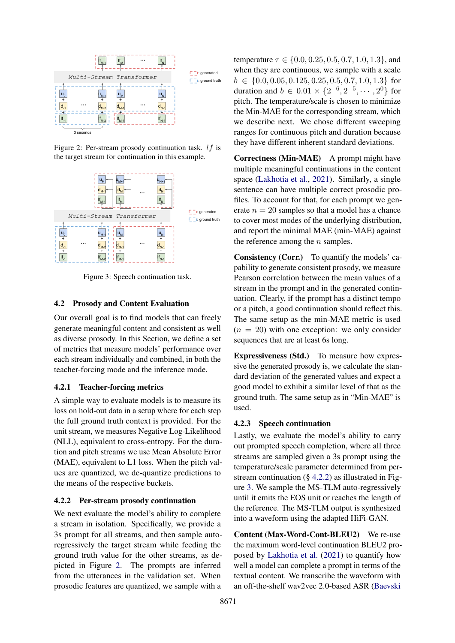<span id="page-5-0"></span>

Figure 2: Per-stream prosody continuation task. lf is the target stream for continuation in this example.



Figure 3: Speech continuation task.

## 4.2 Prosody and Content Evaluation

Our overall goal is to find models that can freely generate meaningful content and consistent as well as diverse prosody. In this Section, we define a set of metrics that measure models' performance over each stream individually and combined, in both the teacher-forcing mode and the inference mode.

# 4.2.1 Teacher-forcing metrics

A simple way to evaluate models is to measure its loss on hold-out data in a setup where for each step the full ground truth context is provided. For the unit stream, we measures Negative Log-Likelihood (NLL), equivalent to cross-entropy. For the duration and pitch streams we use Mean Absolute Error (MAE), equivalent to L1 loss. When the pitch values are quantized, we de-quantize predictions to the means of the respective buckets.

## <span id="page-5-1"></span>4.2.2 Per-stream prosody continuation

We next evaluate the model's ability to complete a stream in isolation. Specifically, we provide a 3s prompt for all streams, and then sample autoregressively the target stream while feeding the ground truth value for the other streams, as depicted in Figure [2.](#page-5-0) The prompts are inferred from the utterances in the validation set. When prosodic features are quantized, we sample with a

temperature  $\tau \in \{0.0, 0.25, 0.5, 0.7, 1.0, 1.3\}$ , and when they are continuous, we sample with a scale  $b \in \{0.0, 0.05, 0.125, 0.25, 0.5, 0.7, 1.0, 1.3\}$  for duration and  $b \in 0.01 \times \{2^{-6}, 2^{-5}, \dots, 2^{0}\}\)$  for pitch. The temperature/scale is chosen to minimize the Min-MAE for the corresponding stream, which we describe next. We chose different sweeping ranges for continuous pitch and duration because they have different inherent standard deviations.

Correctness (Min-MAE) A prompt might have multiple meaningful continuations in the content space [\(Lakhotia et al.,](#page-9-0) [2021\)](#page-9-0). Similarly, a single sentence can have multiple correct prosodic profiles. To account for that, for each prompt we generate  $n = 20$  samples so that a model has a chance to cover most modes of the underlying distribution, and report the minimal MAE (min-MAE) against the reference among the  $n$  samples.

Consistency (Corr.) To quantify the models' capability to generate consistent prosody, we measure Pearson correlation between the mean values of a stream in the prompt and in the generated continuation. Clearly, if the prompt has a distinct tempo or a pitch, a good continuation should reflect this. The same setup as the min-MAE metric is used  $(n = 20)$  with one exception: we only consider sequences that are at least 6s long.

Expressiveness (Std.) To measure how expressive the generated prosody is, we calculate the standard deviation of the generated values and expect a good model to exhibit a similar level of that as the ground truth. The same setup as in "Min-MAE" is used.

# 4.2.3 Speech continuation

Lastly, we evaluate the model's ability to carry out prompted speech completion, where all three streams are sampled given a 3s prompt using the temperature/scale parameter determined from perstream continuation  $(\S$  [4.2.2\)](#page-5-1) as illustrated in Figure [3.](#page-5-0) We sample the MS-TLM auto-regressively until it emits the EOS unit or reaches the length of the reference. The MS-TLM output is synthesized into a waveform using the adapted HiFi-GAN.

Content (Max-Word-Cont-BLEU2) We re-use the maximum word-level continuation BLEU2 proposed by [Lakhotia et al.](#page-9-0) [\(2021\)](#page-9-0) to quantify how well a model can complete a prompt in terms of the textual content. We transcribe the waveform with an off-the-shelf wav2vec 2.0-based ASR [\(Baevski](#page-9-8)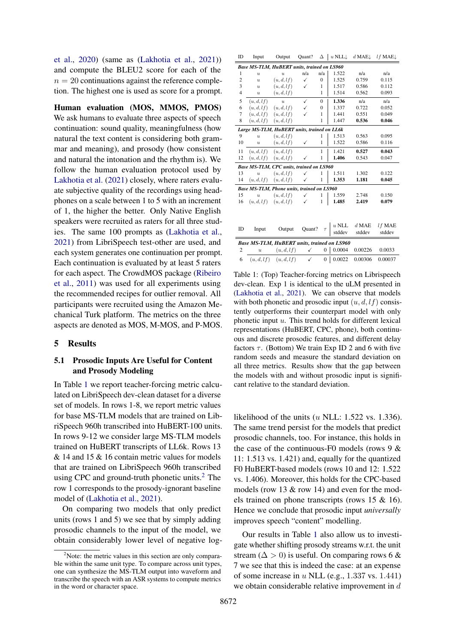[et al.,](#page-9-8) [2020\)](#page-9-8) (same as [\(Lakhotia et al.,](#page-9-0) [2021\)](#page-9-0)) and compute the BLEU2 score for each of the  $n = 20$  continuations against the reference completion. The highest one is used as score for a prompt.

Human evaluation (MOS, MMOS, PMOS) We ask humans to evaluate three aspects of speech continuation: sound quality, meaningfulness (how natural the text content is considering both grammar and meaning), and prosody (how consistent and natural the intonation and the rhythm is). We follow the human evaluation protocol used by [Lakhotia et al.](#page-9-0) [\(2021\)](#page-9-0) closely, where raters evaluate subjective quality of the recordings using headphones on a scale between 1 to 5 with an increment of 1, the higher the better. Only Native English speakers were recruited as raters for all three studies. The same 100 prompts as [\(Lakhotia et al.,](#page-9-0) [2021\)](#page-9-0) from LibriSpeech test-other are used, and each system generates one continuation per prompt. Each continuation is evaluated by at least 5 raters for each aspect. The CrowdMOS package [\(Ribeiro](#page-10-23) [et al.,](#page-10-23) [2011\)](#page-10-23) was used for all experiments using the recommended recipes for outlier removal. All participants were recruited using the Amazon Mechanical Turk platform. The metrics on the three aspects are denoted as MOS, M-MOS, and P-MOS.

### 5 Results

# 5.1 Prosodic Inputs Are Useful for Content and Prosody Modeling

In Table [1](#page-6-0) we report teacher-forcing metric calculated on LibriSpeech dev-clean dataset for a diverse set of models. In rows 1-8, we report metric values for base MS-TLM models that are trained on LibriSpeech 960h transcribed into HuBERT-100 units. In rows 9-12 we consider large MS-TLM models trained on HuBERT transcripts of LL6k. Rows 13 & 14 and 15 & 16 contain metric values for models that are trained on LibriSpeech 960h transcribed using CPC and ground-truth phonetic units.[2](#page-6-1) The row 1 corresponds to the prosody-ignorant baseline model of [\(Lakhotia et al.,](#page-9-0) [2021\)](#page-9-0).

On comparing two models that only predict units (rows 1 and 5) we see that by simply adding prosodic channels to the input of the model, we obtain considerably lower level of negative log-

<span id="page-6-0"></span>

| ID             | Input                                       | Output                                      | Quant?        |                  | $\Delta$   u NLL | d MAE $\downarrow$ | $l f$ MAE $\downarrow$ |
|----------------|---------------------------------------------|---------------------------------------------|---------------|------------------|------------------|--------------------|------------------------|
|                |                                             | Base MS-TLM, HuBERT units, trained on LS960 |               |                  |                  |                    |                        |
| 1              | $\overline{u}$                              | $\overline{u}$                              | n/a           | n/a              | 1.522            | n/a                | n/a                    |
| $\overline{c}$ | $\overline{u}$                              | (u, d, l f)                                 | $\checkmark$  | $\mathbf{0}$     | 1.525            | 0.759              | 0.115                  |
| 3              | $\boldsymbol{u}$                            | (u,d,lf)                                    | ✓             | 1                | 1.517            | 0.586              | 0.112                  |
| $\overline{4}$ | $\boldsymbol{u}$                            | (u,d,lf)                                    |               | 1                | 1.514            | 0.562              | 0.093                  |
| 5              | (u, d, l f)                                 | $\boldsymbol{u}$                            | $\checkmark$  | $\mathbf{0}$     | 1.336            | n/a                | n/a                    |
| 6              | (u, d, l f)                                 | (u, d, l f)                                 | $\checkmark$  | $\overline{0}$   | 1.337            | 0.722              | 0.052                  |
| 7              | (u, d, l f)                                 | (u, d, l f)                                 | ✓             | 1                | 1.441            | 0.551              | 0.049                  |
| 8              | (u, d, l f)                                 | (u,d,lf)                                    |               | 1                | 1.447            | 0.536              | 0.046                  |
|                |                                             | Large MS-TLM, HuBERT units, trained on LL6k |               |                  |                  |                    |                        |
| 9              | $\overline{u}$                              | (u, d, l f)                                 |               | 1                | 1.513            | 0.563              | 0.095                  |
| 10             | $\boldsymbol{u}$                            | (u,d,lf)                                    | $\checkmark$  | $\mathbf{1}$     | 1.522            | 0.586              | 0.116                  |
| 11             | (u,d,lf)                                    | (u,d,lf)                                    |               | $\mathbf{1}$     | 1.421            | 0.527              | 0.043                  |
| 12             | (u, d, l f)                                 | (u,d,lf)                                    | $\checkmark$  | $\mathbf{1}$     | 1.406            | 0.543              | 0.047                  |
|                |                                             | Base MS-TLM, CPC units, trained on LS960    |               |                  |                  |                    |                        |
| 13             | $\overline{u}$                              | (u, d, l f)                                 | ✓             | 1                | 1.511            | 1.302              | 0.122                  |
| 14             | (u,d,lf)                                    | (u, d, l f)                                 | $\checkmark$  | 1                | 1.353            | 1.181              | 0.045                  |
|                |                                             | Base MS-TLM, Phone units, trained on LS960  |               |                  |                  |                    |                        |
| 15             | $\overline{u}$                              | (u,d,lf)                                    | ✓             | 1                | 1.559            | 2.748              | 0.150                  |
| 16             | (u, d, l f)                                 | (u, d, l f)                                 | $\checkmark$  | 1                | 1.485            | 2.419              | 0.079                  |
|                |                                             |                                             |               |                  |                  |                    |                        |
|                |                                             |                                             |               |                  |                  |                    |                        |
|                |                                             |                                             |               |                  | $u$ NLL          | $d$ MAE            | $l f$ MAE              |
| ID             | Input                                       | Output                                      | Quant? $\tau$ |                  | stddev           | stddev             | stddev                 |
|                | Base MS-TLM, HuBERT units, trained on LS960 |                                             |               |                  |                  |                    |                        |
| $\overline{2}$ | $\overline{u}$                              | (u, d, l f)                                 | $\checkmark$  | $\mathbf{0}$     | 0.0004           | 0.00226            | 0.0033                 |
|                |                                             |                                             |               |                  |                  |                    |                        |
| 6              |                                             | $(u, d, l f)$ $(u, d, l f)$                 | $\checkmark$  | $\boldsymbol{0}$ | 0.0022           | 0.00306            | 0.00037                |

Table 1: (Top) Teacher-forcing metrics on Librispeech dev-clean. Exp 1 is identical to the uLM presented in [\(Lakhotia et al.,](#page-9-0) [2021\)](#page-9-0). We can observe that models with both phonetic and prosodic input  $(u, d, lf)$  consistently outperforms their counterpart model with only phonetic input  $u$ . This trend holds for different lexical representations (HuBERT, CPC, phone), both continuous and discrete prosodic features, and different delay factors  $\tau$ . (Bottom) We train Exp ID 2 and 6 with five random seeds and measure the standard deviation on all three metrics. Results show that the gap between the models with and without prosodic input is significant relative to the standard deviation.

likelihood of the units  $(u$  NLL: 1.522 vs. 1.336). The same trend persist for the models that predict prosodic channels, too. For instance, this holds in the case of the continuous-F0 models (rows  $9 \&$ 11: 1.513 vs. 1.421) and, equally for the quantized F0 HuBERT-based models (rows 10 and 12: 1.522 vs. 1.406). Moreover, this holds for the CPC-based models (row 13 & row 14) and even for the models trained on phone transcripts (rows 15 & 16). Hence we conclude that prosodic input *universally* improves speech "content" modelling.

Our results in Table [1](#page-6-0) also allow us to investigate whether shifting prosody streams w.r.t. the unit stream ( $\Delta > 0$ ) is useful. On comparing rows 6 & 7 we see that this is indeed the case: at an expense of some increase in  $u$  NLL (e.g., 1.337 vs. 1.441) we obtain considerable relative improvement in d

<span id="page-6-1"></span> $2^2$ Note: the metric values in this section are only comparable within the same unit type. To compare across unit types, one can synthesize the MS-TLM output into waveform and transcribe the speech with an ASR systems to compute metrics in the word or character space.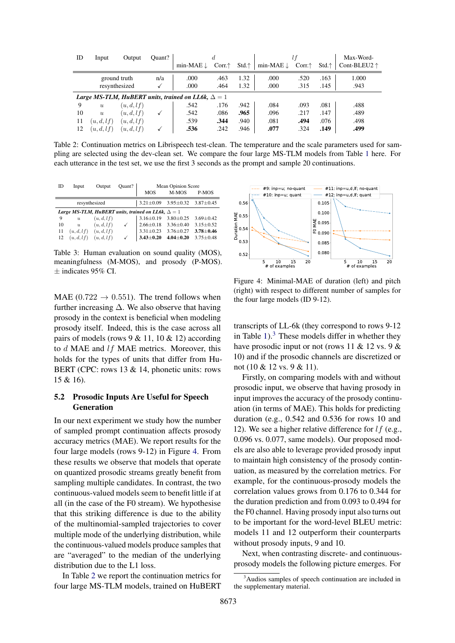<span id="page-7-1"></span>

| ID | Input                                                     | Output        | Quant? |                      |                  |                 |                      |       |                 | Max-Word-             |
|----|-----------------------------------------------------------|---------------|--------|----------------------|------------------|-----------------|----------------------|-------|-----------------|-----------------------|
|    |                                                           |               |        | min-MAE $\downarrow$ | Corr. $\uparrow$ | Std. $\uparrow$ | min-MAE $\downarrow$ | Corr. | $Std. \uparrow$ | Cont-BLEU2 $\uparrow$ |
|    |                                                           | ground truth  | n/a    | .000                 | .463             | 1.32            | .000                 | .520  | .163            | 1.000                 |
|    |                                                           | resynthesized |        | .000                 | .464             | 1.32            | .000                 | .315  | .145            | .943                  |
|    | Large MS-TLM, HuBERT units, trained on LL6k, $\Delta = 1$ |               |        |                      |                  |                 |                      |       |                 |                       |
| 9  | $\boldsymbol{u}$                                          | (u, d, l f)   |        | .542                 | .176             | .942            | .084                 | .093  | .081            | .488                  |
| 10 | $\boldsymbol{u}$                                          | (u,d,lf)      |        | .542                 | .086             | .965            | .096                 | .217  | .147            | .489                  |
| 11 | (u, d, l f)                                               | (u, d, l f)   |        | .539                 | .344             | .940            | .081                 | .494  | .076            | .498                  |
| 12 | (u, d, l f)                                               | (u,d,lf)      |        | .536                 | .242             | .946            | .077                 | .324  | .149            | .499                  |

Table 2: Continuation metrics on Librispeech test-clean. The temperature and the scale parameters used for sampling are selected using the dev-clean set. We compare the four large MS-TLM models from Table [1](#page-6-0) here. For each utterance in the test set, we use the first 3 seconds as the prompt and sample 20 continuations.

<span id="page-7-3"></span>

| ID | Input                     | Output        | Quant?       |                                                           | <b>Mean Opinion Score</b> |                 |
|----|---------------------------|---------------|--------------|-----------------------------------------------------------|---------------------------|-----------------|
|    |                           |               |              | <b>MOS</b>                                                | M-MOS                     | P-MOS           |
|    |                           | resynthesized |              | $3.21 \pm 0.09$                                           | $3.95 \pm 0.32$           | $3.87 \pm 0.45$ |
|    |                           |               |              | Large MS-TLM, HuBERT units, trained on LL6k, $\Delta = 1$ |                           |                 |
| 9  | $\boldsymbol{u}$          | (u, d, l f)   |              | $3.16 \pm 0.19$                                           | $3.80 \pm 0.25$           | $3.69 \pm 0.42$ |
| 10 | $\overline{\mathfrak{u}}$ | (u, d, l f)   | ✓            | $2.66 \pm 0.18$                                           | $3.36 + 0.40$             | $3.15 + 0.52$   |
| 11 | (u, d, l f)               | (u,d,lf)      |              | $3.31 \pm 0.23$                                           | $3.76 + 0.27$             | $3.78 + 0.46$   |
| 12 | (u,d,lf)                  | (u,d,lf)      | $\checkmark$ | $3.43 + 0.20$                                             | $4.04 \pm 0.20$           | $3.75 \pm 0.48$ |

Table 3: Human evaluation on sound quality (MOS), meaningfulness (M-MOS), and prosody (P-MOS).  $\pm$  indicates 95% CI.

MAE (0.722  $\rightarrow$  0.551). The trend follows when further increasing  $\Delta$ . We also observe that having prosody in the context is beneficial when modeling prosody itself. Indeed, this is the case across all pairs of models (rows  $9 < 11$ ,  $10 < 12$ ) according to d MAE and lf MAE metrics. Moreover, this holds for the types of units that differ from Hu-BERT (CPC: rows 13 & 14, phonetic units: rows 15 & 16).

# 5.2 Prosodic Inputs Are Useful for Speech Generation

In our next experiment we study how the number of sampled prompt continuation affects prosody accuracy metrics (MAE). We report results for the four large models (rows 9-12) in Figure [4.](#page-7-0) From these results we observe that models that operate on quantized prosodic streams greatly benefit from sampling multiple candidates. In contrast, the two continuous-valued models seem to benefit little if at all (in the case of the F0 stream). We hypothesise that this striking difference is due to the ability of the multinomial-sampled trajectories to cover multiple mode of the underlying distribution, while the continuous-valued models produce samples that are "averaged" to the median of the underlying distribution due to the L1 loss.

In Table [2](#page-7-1) we report the continuation metrics for four large MS-TLM models, trained on HuBERT

<span id="page-7-0"></span>

Figure 4: Minimal-MAE of duration (left) and pitch (right) with respect to different number of samples for the four large models (ID 9-12).

transcripts of LL-6k (they correspond to rows 9-12 in Table  $1$ ).<sup>[3](#page-7-2)</sup> These models differ in whether they have prosodic input or not (rows 11 & 12 vs. 9 & 10) and if the prosodic channels are discretized or not (10 & 12 vs. 9 & 11).

Firstly, on comparing models with and without prosodic input, we observe that having prosody in input improves the accuracy of the prosody continuation (in terms of MAE). This holds for predicting duration (e.g., 0.542 and 0.536 for rows 10 and 12). We see a higher relative difference for  $lf$  (e.g., 0.096 vs. 0.077, same models). Our proposed models are also able to leverage provided prosody input to maintain high consistency of the prosody continuation, as measured by the correlation metrics. For example, for the continuous-prosody models the correlation values grows from 0.176 to 0.344 for the duration prediction and from 0.093 to 0.494 for the F0 channel. Having prosody input also turns out to be important for the word-level BLEU metric: models 11 and 12 outperform their counterparts without prosody inputs, 9 and 10.

Next, when contrasting discrete- and continuousprosody models the following picture emerges. For

<span id="page-7-2"></span><sup>&</sup>lt;sup>3</sup>Audios samples of speech continuation are included in the supplementary material.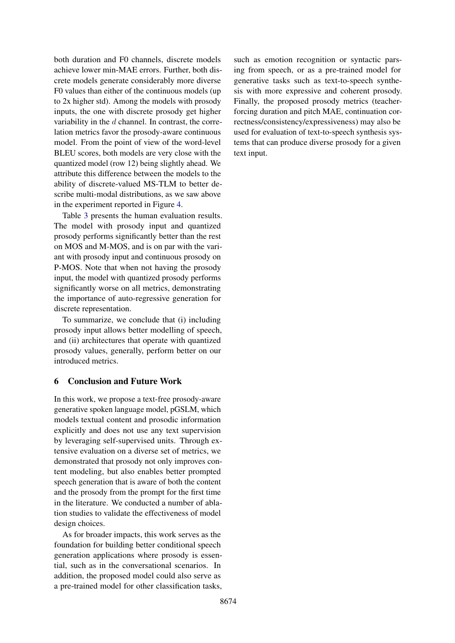both duration and F0 channels, discrete models achieve lower min-MAE errors. Further, both discrete models generate considerably more diverse F0 values than either of the continuous models (up to 2x higher std). Among the models with prosody inputs, the one with discrete prosody get higher variability in the  $d$  channel. In contrast, the correlation metrics favor the prosody-aware continuous model. From the point of view of the word-level BLEU scores, both models are very close with the quantized model (row 12) being slightly ahead. We attribute this difference between the models to the ability of discrete-valued MS-TLM to better describe multi-modal distributions, as we saw above in the experiment reported in Figure [4.](#page-7-0)

Table [3](#page-7-3) presents the human evaluation results. The model with prosody input and quantized prosody performs significantly better than the rest on MOS and M-MOS, and is on par with the variant with prosody input and continuous prosody on P-MOS. Note that when not having the prosody input, the model with quantized prosody performs significantly worse on all metrics, demonstrating the importance of auto-regressive generation for discrete representation.

To summarize, we conclude that (i) including prosody input allows better modelling of speech, and (ii) architectures that operate with quantized prosody values, generally, perform better on our introduced metrics.

# 6 Conclusion and Future Work

In this work, we propose a text-free prosody-aware generative spoken language model, pGSLM, which models textual content and prosodic information explicitly and does not use any text supervision by leveraging self-supervised units. Through extensive evaluation on a diverse set of metrics, we demonstrated that prosody not only improves content modeling, but also enables better prompted speech generation that is aware of both the content and the prosody from the prompt for the first time in the literature. We conducted a number of ablation studies to validate the effectiveness of model design choices.

As for broader impacts, this work serves as the foundation for building better conditional speech generation applications where prosody is essential, such as in the conversational scenarios. In addition, the proposed model could also serve as a pre-trained model for other classification tasks, such as emotion recognition or syntactic parsing from speech, or as a pre-trained model for generative tasks such as text-to-speech synthesis with more expressive and coherent prosody. Finally, the proposed prosody metrics (teacherforcing duration and pitch MAE, continuation correctness/consistency/expressiveness) may also be used for evaluation of text-to-speech synthesis systems that can produce diverse prosody for a given text input.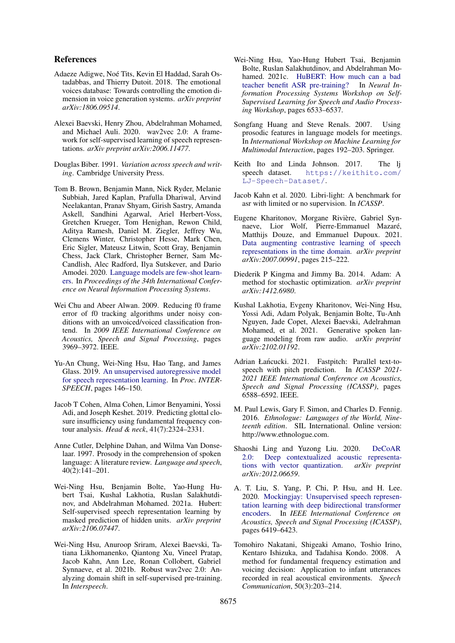# References

- <span id="page-9-16"></span>Adaeze Adigwe, Noé Tits, Kevin El Haddad, Sarah Ostadabbas, and Thierry Dutoit. 2018. The emotional voices database: Towards controlling the emotion dimension in voice generation systems. *arXiv preprint arXiv:1806.09514*.
- <span id="page-9-8"></span>Alexei Baevski, Henry Zhou, Abdelrahman Mohamed, and Michael Auli. 2020. wav2vec 2.0: A framework for self-supervised learning of speech representations. *arXiv preprint arXiv:2006.11477*.
- <span id="page-9-3"></span>Douglas Biber. 1991. *Variation across speech and writing*. Cambridge University Press.
- <span id="page-9-1"></span>Tom B. Brown, Benjamin Mann, Nick Ryder, Melanie Subbiah, Jared Kaplan, Prafulla Dhariwal, Arvind Neelakantan, Pranav Shyam, Girish Sastry, Amanda Askell, Sandhini Agarwal, Ariel Herbert-Voss, Gretchen Krueger, Tom Henighan, Rewon Child, Aditya Ramesh, Daniel M. Ziegler, Jeffrey Wu, Clemens Winter, Christopher Hesse, Mark Chen, Eric Sigler, Mateusz Litwin, Scott Gray, Benjamin Chess, Jack Clark, Christopher Berner, Sam Mc-Candlish, Alec Radford, Ilya Sutskever, and Dario Amodei. 2020. [Language models are few-shot learn](https://arxiv.org/abs/2005.14165)[ers.](https://arxiv.org/abs/2005.14165) In *Proceedings of the 34th International Conference on Neural Information Processing Systems*.
- <span id="page-9-21"></span>Wei Chu and Abeer Alwan. 2009. Reducing f0 frame error of f0 tracking algorithms under noisy conditions with an unvoiced/voiced classification frontend. In *2009 IEEE International Conference on Acoustics, Speech and Signal Processing*, pages 3969–3972. IEEE.
- <span id="page-9-6"></span>Yu-An Chung, Wei-Ning Hsu, Hao Tang, and James Glass. 2019. [An unsupervised autoregressive model](https://doi.org/10.21437/Interspeech.2019-1473) [for speech representation learning.](https://doi.org/10.21437/Interspeech.2019-1473) In *Proc. INTER-SPEECH*, pages 146–150.
- <span id="page-9-14"></span>Jacob T Cohen, Alma Cohen, Limor Benyamini, Yossi Adi, and Joseph Keshet. 2019. Predicting glottal closure insufficiency using fundamental frequency contour analysis. *Head & neck*, 41(7):2324–2331.
- <span id="page-9-5"></span>Anne Cutler, Delphine Dahan, and Wilma Van Donselaar. 1997. Prosody in the comprehension of spoken language: A literature review. *Language and speech*, 40(2):141–201.
- <span id="page-9-13"></span>Wei-Ning Hsu, Benjamin Bolte, Yao-Hung Hubert Tsai, Kushal Lakhotia, Ruslan Salakhutdinov, and Abdelrahman Mohamed. 2021a. Hubert: Self-supervised speech representation learning by masked prediction of hidden units. *arXiv preprint arXiv:2106.07447*.
- <span id="page-9-12"></span>Wei-Ning Hsu, Anuroop Sriram, Alexei Baevski, Tatiana Likhomanenko, Qiantong Xu, Vineel Pratap, Jacob Kahn, Ann Lee, Ronan Collobert, Gabriel Synnaeve, et al. 2021b. Robust wav2vec 2.0: Analyzing domain shift in self-supervised pre-training. In *Interspeech*.
- <span id="page-9-9"></span>Wei-Ning Hsu, Yao-Hung Hubert Tsai, Benjamin Bolte, Ruslan Salakhutdinov, and Abdelrahman Mohamed. 2021c. [HuBERT: How much can a bad](https://doi.org/10.1109/ICASSP39728.2021.9414460) [teacher benefit ASR pre-training?](https://doi.org/10.1109/ICASSP39728.2021.9414460) In *Neural Information Processing Systems Workshop on Self-Supervised Learning for Speech and Audio Processing Workshop*, pages 6533–6537.
- <span id="page-9-15"></span>Songfang Huang and Steve Renals. 2007. Using prosodic features in language models for meetings. In *International Workshop on Machine Learning for Multimodal Interaction*, pages 192–203. Springer.
- <span id="page-9-17"></span>Keith Ito and Linda Johnson. 2017. The lj speech dataset. [https://keithito.com/](https://keithito.com/LJ-Speech-Dataset/) [LJ-Speech-Dataset/](https://keithito.com/LJ-Speech-Dataset/).
- <span id="page-9-18"></span>Jacob Kahn et al. 2020. Libri-light: A benchmark for asr with limited or no supervision. In *ICASSP*.
- <span id="page-9-7"></span>Eugene Kharitonov, Morgane Rivière, Gabriel Synnaeve, Lior Wolf, Pierre-Emmanuel Mazaré, Matthijs Douze, and Emmanuel Dupoux. 2021. [Data augmenting contrastive learning of speech](https://doi.org/10.1109/SLT48900.2021.9383605) [representations in the time domain.](https://doi.org/10.1109/SLT48900.2021.9383605) *arXiv preprint arXiv:2007.00991*, pages 215–222.
- <span id="page-9-19"></span>Diederik P Kingma and Jimmy Ba. 2014. Adam: A method for stochastic optimization. *arXiv preprint arXiv:1412.6980*.
- <span id="page-9-0"></span>Kushal Lakhotia, Evgeny Kharitonov, Wei-Ning Hsu, Yossi Adi, Adam Polyak, Benjamin Bolte, Tu-Anh Nguyen, Jade Copet, Alexei Baevski, Adelrahman Mohamed, et al. 2021. Generative spoken language modeling from raw audio. *arXiv preprint arXiv:2102.01192*.
- <span id="page-9-4"></span>Adrian Łańcucki. 2021. Fastpitch: Parallel text-tospeech with pitch prediction. In *ICASSP 2021- 2021 IEEE International Conference on Acoustics, Speech and Signal Processing (ICASSP)*, pages 6588–6592. IEEE.
- <span id="page-9-2"></span>M. Paul Lewis, Gary F. Simon, and Charles D. Fennig. 2016. *Ethnologue: Languages of the World, Nineteenth edition*. SIL International. Online version: http://www.ethnologue.com.
- <span id="page-9-11"></span>Shaoshi Ling and Yuzong Liu. 2020. [DeCoAR](https://arxiv.org/abs/2012.06659) 2.0: Deep contextualized acoustic representa-<br>tions with vector quantization.  $arXiv$  preprint [tions with vector quantization.](https://arxiv.org/abs/2012.06659) *arXiv:2012.06659*.
- <span id="page-9-10"></span>A. T. Liu, S. Yang, P. Chi, P. Hsu, and H. Lee. 2020. [Mockingjay: Unsupervised speech represen](https://doi.org/10.1109/ICASSP40776.2020.9054458)[tation learning with deep bidirectional transformer](https://doi.org/10.1109/ICASSP40776.2020.9054458) [encoders.](https://doi.org/10.1109/ICASSP40776.2020.9054458) In *IEEE International Conference on Acoustics, Speech and Signal Processing (ICASSP)*, pages 6419–6423.
- <span id="page-9-20"></span>Tomohiro Nakatani, Shigeaki Amano, Toshio Irino, Kentaro Ishizuka, and Tadahisa Kondo. 2008. A method for fundamental frequency estimation and voicing decision: Application to infant utterances recorded in real acoustical environments. *Speech Communication*, 50(3):203–214.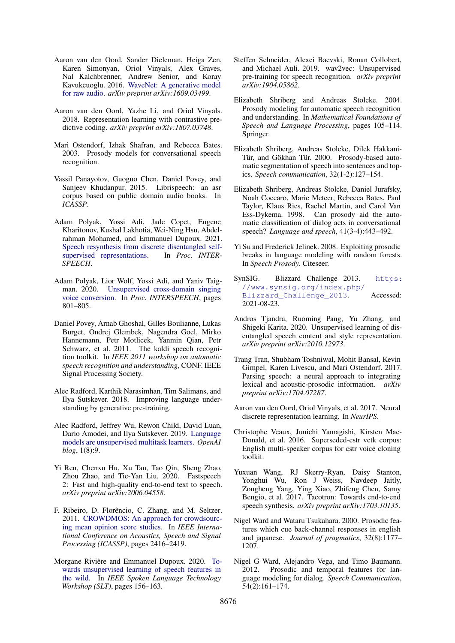- <span id="page-10-18"></span>Aaron van den Oord, Sander Dieleman, Heiga Zen, Karen Simonyan, Oriol Vinyals, Alex Graves, Nal Kalchbrenner, Andrew Senior, and Koray Kavukcuoglu. 2016. [WaveNet: A generative model](https://arxiv.org/abs/1609.03499) [for raw audio.](https://arxiv.org/abs/1609.03499) *arXiv preprint arXiv:1609.03499*.
- <span id="page-10-21"></span>Aaron van den Oord, Yazhe Li, and Oriol Vinyals. 2018. Representation learning with contrastive predictive coding. *arXiv preprint arXiv:1807.03748*.
- <span id="page-10-10"></span>Mari Ostendorf, Izhak Shafran, and Rebecca Bates. 2003. Prosody models for conversational speech recognition.
- <span id="page-10-19"></span>Vassil Panayotov, Guoguo Chen, Daniel Povey, and Sanjeev Khudanpur. 2015. Librispeech: an asr corpus based on public domain audio books. In *ICASSP*.
- <span id="page-10-6"></span>Adam Polyak, Yossi Adi, Jade Copet, Eugene Kharitonov, Kushal Lakhotia, Wei-Ning Hsu, Abdelrahman Mohamed, and Emmanuel Dupoux. 2021. [Speech resynthesis from discrete disentangled self](http://arxiv.org/abs/2104.00355)[supervised representations.](http://arxiv.org/abs/2104.00355) In *Proc. INTER-SPEECH*.
- <span id="page-10-24"></span>Adam Polyak, Lior Wolf, Yossi Adi, and Yaniv Taigman. 2020. [Unsupervised cross-domain singing](https://doi.org/10.21437/Interspeech.2020-1862) [voice conversion.](https://doi.org/10.21437/Interspeech.2020-1862) In *Proc. INTERSPEECH*, pages 801–805.
- <span id="page-10-22"></span>Daniel Povey, Arnab Ghoshal, Gilles Boulianne, Lukas Burget, Ondrej Glembek, Nagendra Goel, Mirko Hannemann, Petr Motlicek, Yanmin Qian, Petr Schwarz, et al. 2011. The kaldi speech recognition toolkit. In *IEEE 2011 workshop on automatic speech recognition and understanding*, CONF. IEEE Signal Processing Society.
- <span id="page-10-0"></span>Alec Radford, Karthik Narasimhan, Tim Salimans, and Ilya Sutskever. 2018. Improving language understanding by generative pre-training.
- <span id="page-10-1"></span>Alec Radford, Jeffrey Wu, Rewon Child, David Luan, Dario Amodei, and Ilya Sutskever. 2019. [Language](https://cdn.openai.com/better-language-models/language_models_are_unsupervised_multitask_learners.pdf) [models are unsupervised multitask learners.](https://cdn.openai.com/better-language-models/language_models_are_unsupervised_multitask_learners.pdf) *OpenAI blog*, 1(8):9.
- <span id="page-10-2"></span>Yi Ren, Chenxu Hu, Xu Tan, Tao Qin, Sheng Zhao, Zhou Zhao, and Tie-Yan Liu. 2020. Fastspeech 2: Fast and high-quality end-to-end text to speech. *arXiv preprint arXiv:2006.04558*.
- <span id="page-10-23"></span>F. Ribeiro, D. Florêncio, C. Zhang, and M. Seltzer. 2011. [CROWDMOS: An approach for crowdsourc](https://doi.org/10.1109/ICASSP.2011.5946971)[ing mean opinion score studies.](https://doi.org/10.1109/ICASSP.2011.5946971) In *IEEE International Conference on Acoustics, Speech and Signal Processing (ICASSP)*, pages 2416–2419.
- <span id="page-10-20"></span>Morgane Rivière and Emmanuel Dupoux. 2020. [To](https://doi.org/10.1109/SLT48900.2021.9383461)[wards unsupervised learning of speech features in](https://doi.org/10.1109/SLT48900.2021.9383461) [the wild.](https://doi.org/10.1109/SLT48900.2021.9383461) In *IEEE Spoken Language Technology Workshop (SLT)*, pages 156–163.
- <span id="page-10-4"></span>Steffen Schneider, Alexei Baevski, Ronan Collobert, and Michael Auli. 2019. wav2vec: Unsupervised pre-training for speech recognition. *arXiv preprint arXiv:1904.05862*.
- <span id="page-10-11"></span>Elizabeth Shriberg and Andreas Stolcke. 2004. Prosody modeling for automatic speech recognition and understanding. In *Mathematical Foundations of Speech and Language Processing*, pages 105–114. Springer.
- <span id="page-10-7"></span>Elizabeth Shriberg, Andreas Stolcke, Dilek Hakkani-Tür, and Gökhan Tür. 2000. Prosody-based automatic segmentation of speech into sentences and topics. *Speech communication*, 32(1-2):127–154.
- <span id="page-10-8"></span>Elizabeth Shriberg, Andreas Stolcke, Daniel Jurafsky, Noah Coccaro, Marie Meteer, Rebecca Bates, Paul Taylor, Klaus Ries, Rachel Martin, and Carol Van Ess-Dykema. 1998. Can prosody aid the automatic classification of dialog acts in conversational speech? *Language and speech*, 41(3-4):443–492.
- <span id="page-10-12"></span>Yi Su and Frederick Jelinek. 2008. Exploiting prosodic breaks in language modeling with random forests. In *Speech Prosody*. Citeseer.
- <span id="page-10-16"></span>SynSIG. Blizzard Challenge 2013. [https:](https://www.synsig.org/index.php/Blizzard_Challenge_2013) [//www.synsig.org/index.php/](https://www.synsig.org/index.php/Blizzard_Challenge_2013) [Blizzard\\_Challenge\\_2013](https://www.synsig.org/index.php/Blizzard_Challenge_2013). Accessed: 2021-08-23.
- <span id="page-10-5"></span>Andros Tjandra, Ruoming Pang, Yu Zhang, and Shigeki Karita. 2020. Unsupervised learning of disentangled speech content and style representation. *arXiv preprint arXiv:2010.12973*.
- <span id="page-10-3"></span>Trang Tran, Shubham Toshniwal, Mohit Bansal, Kevin Gimpel, Karen Livescu, and Mari Ostendorf. 2017. Parsing speech: a neural approach to integrating lexical and acoustic-prosodic information. *arXiv preprint arXiv:1704.07287*.
- <span id="page-10-15"></span>Aaron van den Oord, Oriol Vinyals, et al. 2017. Neural discrete representation learning. In *NeurIPS*.
- <span id="page-10-17"></span>Christophe Veaux, Junichi Yamagishi, Kirsten Mac-Donald, et al. 2016. Superseded-cstr vctk corpus: English multi-speaker corpus for cstr voice cloning toolkit.
- <span id="page-10-14"></span>Yuxuan Wang, RJ Skerry-Ryan, Daisy Stanton, Yonghui Wu, Ron J Weiss, Navdeep Jaitly, Zongheng Yang, Ying Xiao, Zhifeng Chen, Samy Bengio, et al. 2017. Tacotron: Towards end-to-end speech synthesis. *arXiv preprint arXiv:1703.10135*.
- <span id="page-10-9"></span>Nigel Ward and Wataru Tsukahara. 2000. Prosodic features which cue back-channel responses in english and japanese. *Journal of pragmatics*, 32(8):1177– 1207.
- <span id="page-10-13"></span>Nigel G Ward, Alejandro Vega, and Timo Baumann. 2012. Prosodic and temporal features for language modeling for dialog. *Speech Communication*, 54(2):161–174.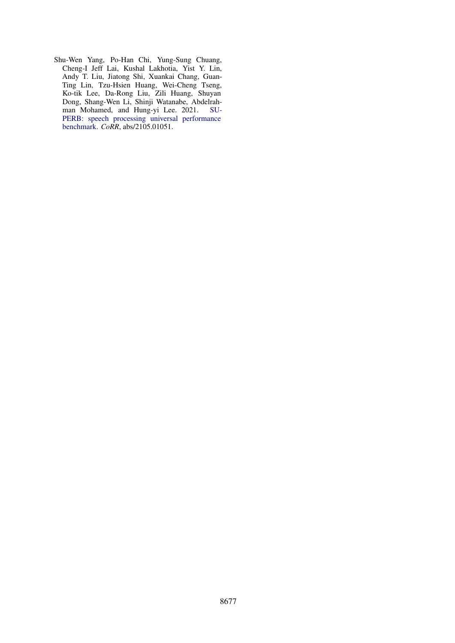<span id="page-11-0"></span>Shu-Wen Yang, Po-Han Chi, Yung-Sung Chuang, Cheng-I Jeff Lai, Kushal Lakhotia, Yist Y. Lin, Andy T. Liu, Jiatong Shi, Xuankai Chang, Guan-Ting Lin, Tzu-Hsien Huang, Wei-Cheng Tseng, Ko-tik Lee, Da-Rong Liu, Zili Huang, Shuyan Dong, Shang-Wen Li, Shinji Watanabe, Abdelrahman Mohamed, and Hung-yi Lee. 2021. [SU-](http://arxiv.org/abs/2105.01051)[PERB: speech processing universal performance](http://arxiv.org/abs/2105.01051) [benchmark.](http://arxiv.org/abs/2105.01051) *CoRR*, abs/2105.01051.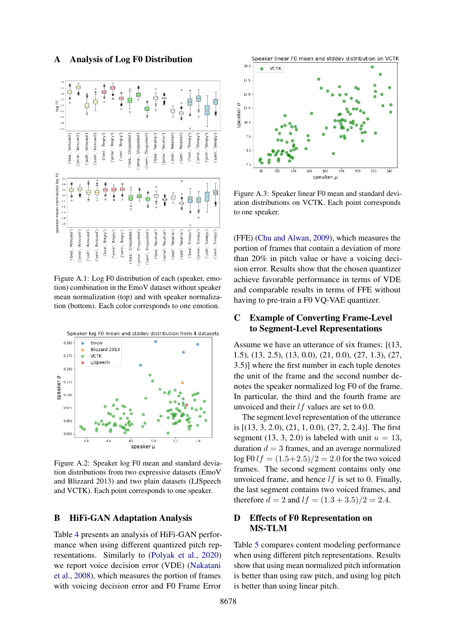## A Analysis of Log F0 Distribution

<span id="page-12-0"></span>

Figure A.1: Log F0 distribution of each (speaker, emotion) combination in the EmoV dataset without speaker mean normalization (top) and with speaker normalization (bottom). Each color corresponds to one emotion.

<span id="page-12-1"></span>

Figure A.2: Speaker log F0 mean and standard deviation distributions from two expressive datasets (EmoV and Blizzard 2013) and two plain datasets (LJSpeech and VCTK). Each point corresponds to one speaker.

### B HiFi-GAN Adaptation Analysis

Table [4](#page-13-0) presents an analysis of HiFi-GAN performance when using different quantized pitch representations. Similarly to [\(Polyak et al.,](#page-10-24) [2020\)](#page-10-24) we report voice decision error (VDE) [\(Nakatani](#page-9-20) [et al.,](#page-9-20) [2008\)](#page-9-20), which measures the portion of frames with voicing decision error and F0 Frame Error

<span id="page-12-2"></span>



Figure A.3: Speaker linear F0 mean and standard deviation distributions on VCTK. Each point corresponds to one speaker.

(FFE) [\(Chu and Alwan,](#page-9-21) [2009\)](#page-9-21), which measures the portion of frames that contain a deviation of more than 20% in pitch value or have a voicing decision error. Results show that the chosen quantizer achieve favorable performance in terms of VDE and comparable results in terms of FFE without having to pre-train a F0 VQ-VAE quantizer.

# <span id="page-12-3"></span>C Example of Converting Frame-Level to Segment-Level Representations

Assume we have an utterance of six frames: [(13, 1.5), (13, 2.5), (13, 0.0), (21, 0.0), (27, 1.3), (27, 3.5)] where the first number in each tuple denotes the unit of the frame and the second number denotes the speaker normalized log F0 of the frame. In particular, the third and the fourth frame are unvoiced and their  $l f$  values are set to 0.0.

The segment level representation of the utterance is [(13, 3, 2.0), (21, 1, 0.0), (27, 2, 2.4)]. The first segment (13, 3, 2.0) is labeled with unit  $u = 13$ , duration  $d = 3$  frames, and an average normalized  $\log$  F0  $lf = (1.5 + 2.5)/2 = 2.0$  for the two voiced frames. The second segment contains only one unvoiced frame, and hence  $lf$  is set to 0. Finally, the last segment contains two voiced frames, and therefore  $d = 2$  and  $lf = (1.3 + 3.5)/2 = 2.4$ .

# D Effects of F0 Representation on MS-TLM

Table [5](#page-13-1) compares content modeling performance when using different pitch representations. Results show that using mean normalized pitch information is better than using raw pitch, and using log pitch is better than using linear pitch.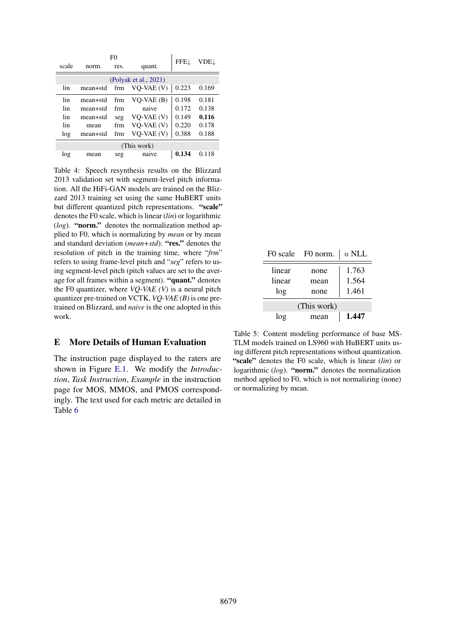<span id="page-13-0"></span>

| F0    |             |      |                       | FFEJ  | VDE.L |
|-------|-------------|------|-----------------------|-------|-------|
| scale | norm.       | res. | quant.                |       |       |
|       |             |      | (Polyak et al., 2021) |       |       |
| lin   | mean+std    | frm  | VO-VAE (V)            | 0.223 | 0.169 |
| lin   | mean+std    | frm  | $VO-VAE(B)$           | 0.198 | 0.181 |
| lin   | mean+std    | frm  | naive                 | 0.172 | 0.138 |
| lin   | mean+std    | seg  | $VO-VAE(V)$           | 0.149 | 0.116 |
| lin   | mean        | frm  | $VO$ -VAE $(V)$       | 0.220 | 0.178 |
| log   | mean+std    | frm  | VQ-VAE (V)            | 0.388 | 0.188 |
|       | (This work) |      |                       |       |       |
| log   | mean        | seg  | naive                 | 0.134 | 0.118 |

Table 4: Speech resynthesis results on the Blizzard 2013 validation set with segment-level pitch information. All the HiFi-GAN models are trained on the Blizzard 2013 training set using the same HuBERT units but different quantized pitch representations. "scale" denotes the F0 scale, which is linear (*lin*) or logarithmic  $(log)$ . "norm." denotes the normalization method applied to F0, which is normalizing by *mean* or by mean and standard deviation (*mean+std*). "res." denotes the resolution of pitch in the training time, where "*frm*" refers to using frame-level pitch and "*seg*" refers to using segment-level pitch (pitch values are set to the average for all frames within a segment). "quant." denotes the F0 quantizer, where *VQ-VAE (V)* is a neural pitch quantizer pre-trained on VCTK, *VQ-VAE (B)* is one pretrained on Blizzard, and *naive* is the one adopted in this work.

### E More Details of Human Evaluation

The instruction page displayed to the raters are shown in Figure [E.1.](#page-14-0) We modify the *Introduction*, *Task Instruction*, *Example* in the instruction page for MOS, MMOS, and PMOS correspondingly. The text used for each metric are detailed in Table [6](#page-15-0)

<span id="page-13-1"></span>

|        | F0 scale F0 norm. | $u$ NLL |
|--------|-------------------|---------|
| linear | none              | 1.763   |
| linear | mean              | 1.564   |
| log    | none              | 1.461   |
|        | (This work)       |         |
| log    | mean              | 1.447   |

Table 5: Content modeling performance of base MS-TLM models trained on LS960 with HuBERT units using different pitch representations without quantization. "scale" denotes the F0 scale, which is linear (*lin*) or logarithmic (*log*). "norm." denotes the normalization method applied to F0, which is not normalizing (none) or normalizing by mean.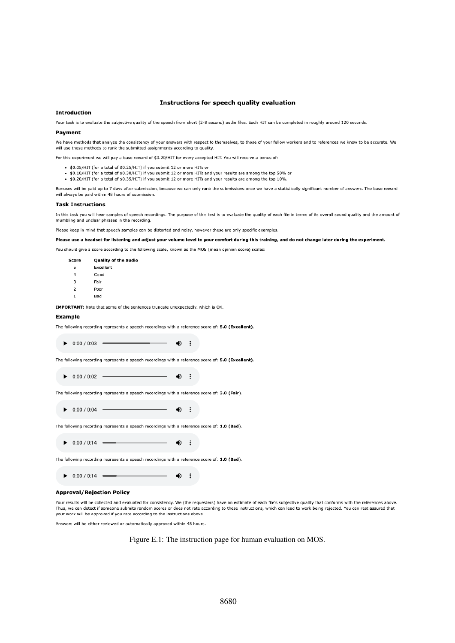#### Instructions for speech quality evaluation

#### <span id="page-14-0"></span>**Introduction**

Your task is to evaluate the subjective quality of the speech from short (2-8 second) audio files. Each HIT can be completed in roughly around 120 seconds.

#### **Payment**

We have methods that analyze the consistency of your answers with respect to themselves, to those of your fellow workers and to references we know to be accurate. We will use these methods to rank the submitted assignments according to quality.

For this experiment we will nay a hase reward of \$0.20/HTT for every accepted HTT. You will receive a bonus of

- \$0.05/HIT (for a total of \$0.25/HIT) if you submit 12 or more HITs or
- \$0.10/HIT (for a total of \$0.30/HIT) if you submit 12 or more HITs and your results are among the top 50% or

. \$0.20/HIT (for a total of \$0.35/HIT) if you submit 12 or more HITs and your results are among the top 10%.

Bonuses will be paid up to 7 days after submission, because we can only rank the submissions once we have a statistically significant number of answers. The base reward will always be paid within 48 hours of submission.

#### **Task Instructions**

In this task you will hear samples of speech recordings. The purpose of this test is to evaluate the quality of each file in terms of its overall sound quality and the amount of mumbling and unclear phrases in the recording.

Please keep in mind that speech samples can be distorted and noisy, however these are only specific examples.

Please use a headset for listening and adjust your volume level to your comfort during this training, and do not change later during the experiment.

You should give a score according to the following scale, known as the MOS (mean opinion score) scales:

| Score          | Quality of the audio |
|----------------|----------------------|
| 5              | Excellent            |
| 4              | Good                 |
| 3              | Fair                 |
| $\overline{2}$ | Poor                 |
|                | Bad                  |

IMPORTANT: Note that some of the sentences truncate unexpectedly, which is OK.

#### **Example**

| The following recording represents a speech recordings with a reference score of: 5.0 (Excellent). |  |  |  |  |  |
|----------------------------------------------------------------------------------------------------|--|--|--|--|--|
|----------------------------------------------------------------------------------------------------|--|--|--|--|--|

 $\triangleright$  0:00 / 0:03 40  $\cdot$ :

The following recording represents a speech recordings with a reference score of: 5.0 (Excellent).

 $\bigoplus$  :  $\triangleright$  0:00 / 0:02 =

The following recording represents a speech recordings with a reference score of: 3.0 (Fair).

 $\triangleright$  0:00 / 0:04 =  $\rightarrow$  :

The following recording represents a speech recordings with a reference score of: 1.0 (Bad).

 $\bullet$  :  $\triangleright$  0.00 / 0.14 =

The following recording represents a speech recordings with a reference score of: 1.0 (Bad).

 $\triangleright$  0:00 / 0:14 - $\bigoplus$  :

#### **Approval/Rejection Policy**

Your results will be collected and evaluated for consistency. We (the requesters) have an estimate of each file's subjective quality that conforms with the references above. Thus, we can detect if someone submits random scores or does not rate according to these instructions, which can lead to work being rejected. You can rest assured that your work will be approved if you rate according to the instructions above.

Answers will be either reviewed or automatically approved within 48 hours.

Figure E.1: The instruction page for human evaluation on MOS.